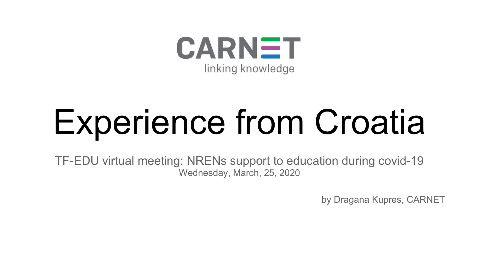

# Experience from Croatia

TF-EDU virtual meeting: NRENs support to education during covid-19 Wednesday, March, 25, 2020

by Dragana Kupres, CARNET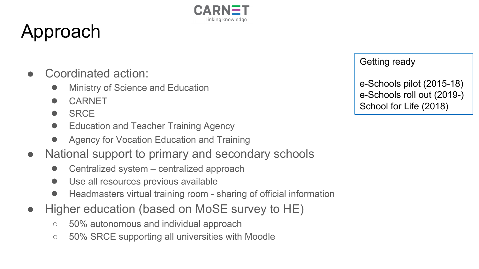

## Approach

- Coordinated action:
	- **Ministry of Science and Education**
	- CARNET
	- SRCE
	- Education and Teacher Training Agency
	- Agency for Vocation Education and Training
- National support to primary and secondary schools
	- Centralized system centralized approach
	- Use all resources previous available
	- Headmasters virtual training room sharing of official information
- Higher education (based on MoSE survey to HE)
	- 50% autonomous and individual approach
	- 50% SRCE supporting all universities with Moodle

Getting ready

e-Schools pilot (2015-18) e-Schools roll out (2019-) School for Life (2018)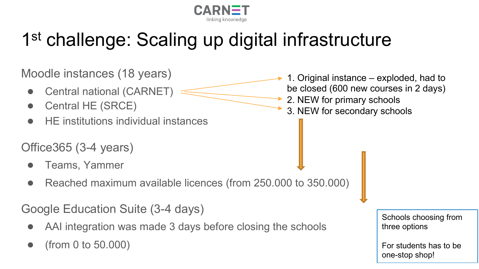

## 1<sup>st</sup> challenge: Scaling up digital infrastructure

Moodle instances (18 years)

- Central national (CARNET)
- Central HE (SRCE)
- **HE** institutions individual instances

#### Office365 (3-4 years)

- Teams, Yammer
- Reached maximum available licences (from 250.000 to 350.000)

Google Education Suite (3-4 days)

- AAI integration was made 3 days before closing the schools
- $(from 0 to 50.000)$
- 1. Original instance exploded, had to be closed (600 new courses in 2 days) 2. NEW for primary schools
- 3. NEW for secondary schools

Schools choosing from three options

For students has to be one-stop shop!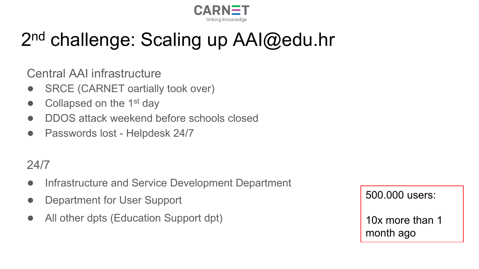

### 2<sup>nd</sup> challenge: Scaling up AAI@edu.hr

Central AAI infrastructure

- SRCE (CARNET oartially took over)
- Collapsed on the  $1<sup>st</sup>$  day
- DDOS attack weekend before schools closed
- Passwords lost Helpdesk 24/7

#### 24/7

- Infrastructure and Service Development Department
- Department for User Support
- All other dpts (Education Support dpt)

500.000 users:

10x more than 1 month ago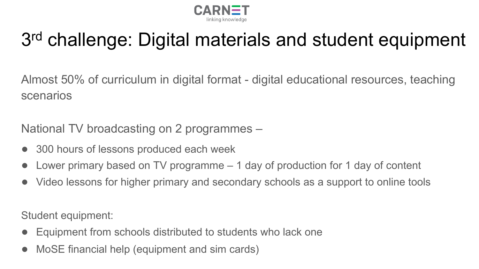

#### 3rd challenge: Digital materials and student equipment

Almost 50% of curriculum in digital format - digital educational resources, teaching scenarios

National TV broadcasting on 2 programmes –

- 300 hours of lessons produced each week
- Lower primary based on TV programme 1 day of production for 1 day of content
- Video lessons for higher primary and secondary schools as a support to online tools

Student equipment:

- Equipment from schools distributed to students who lack one
- MoSE financial help (equipment and sim cards)